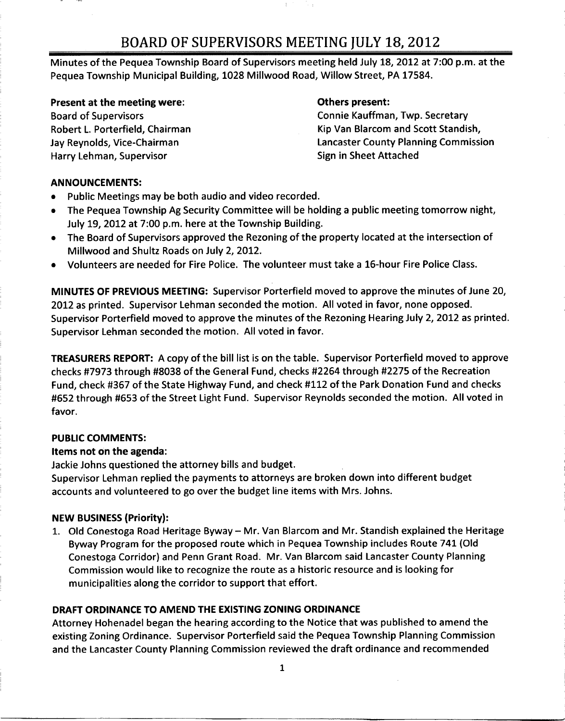# BOARD OF SUPERVISORS MEETING JULY 18 2012

 $\Gamma$ 

Minutes of the Pequea Township Board of Supervisors meeting held July 18, 2012 at 7:00 p.m. at the Pequea Township Municipal Building, 1028 Millwood Road, Willow Street, PA 17584.

#### Present at the meeting were: The Communication of the Others present:

Harry Lehman, Supervisor Supervisor Sign in Sheet Attached

Board of Supervisors **Connie Kauffman, Twp. Secretary** Robert L. Porterfield, Chairman Kip Van Blarcom and Scott Standish, Jay Reynolds, Vice-Chairman Lancaster County Planning Commission

### ANNOUNCEMENTS

- $\bullet$ Public Meetings may be both audio and video recorded
- The Pequea Township Ag Security Committee will be holding a public meeting tomorrow night,<br>July 19, 2012 at 7:00 p.m. here at the Township Building.<br>The Build of Guessians approved the Peaseius of the approximal sected at
- The Board of Supervisors approved the Rezoning of the property located at the intersection of Millwood and Shultz Roads on July 2, 2012.
- Volunteers are needed for Fire Police The volunteer must take <sup>a</sup> 16hour Fire Police Class  $\bullet$

MINUTES OF PREVIOUS MEETING: Supervisor Porterfield moved to approve the minutes of June 20, 2012 as printed. Supervisor Lehman seconded the motion. All voted in favor, none opposed. Supervisor Porterfield moved to approve the minutes of the Rezoning Hearing July 2, 2012 as printed. Supervisor Lehman seconded the motion. All voted in favor.

**TREASURERS REPORT:** A copy of the bill list is on the table. Supervisor Porterfield moved to approve checks #7973 through #8038 of the General Fund, checks #2264 through #2275 of the Recreation Fund, check #367 of the State Highway Fund, and check #112 of the Park Donation Fund and checks #652 through #653 of the Street Light Fund. Supervisor Reynolds seconded the motion. All voted in favor

# PUBLIC COMMENTS

# Items not on the agenda

Jackie Johns questioned the attorney bills and budget

Supervisor Lehman replied the payments to attorneys are broken down into different budget accounts and volunteered to go over the budget line items with Mrs. Johns.

# NEW BUSINESS (Priority):

1. Old Conestoga Road Heritage Byway - Mr. Van Blarcom and Mr. Standish explained the Heritage Byway Program for the proposed route which in Pequea Township includes Route 741 Old Conestoga Corridor) and Penn Grant Road. Mr. Van Blarcom said Lancaster County Planning Commission would like to recognize the route as <sup>a</sup> historic resource and is looking for municipalities along the corridor to support that effort

# DRAFT ORDINANCE TO AMEND THE EXISTING ZONING ORDINANCE

Attorney Hohenadel began the hearing according to the Notice that was published to amend the existing Zoning Ordinance. Supervisor Porterfield said the Pequea Township Planning Commission and the Lancaster County Planning Commission reviewed the draft ordinance and recommended

1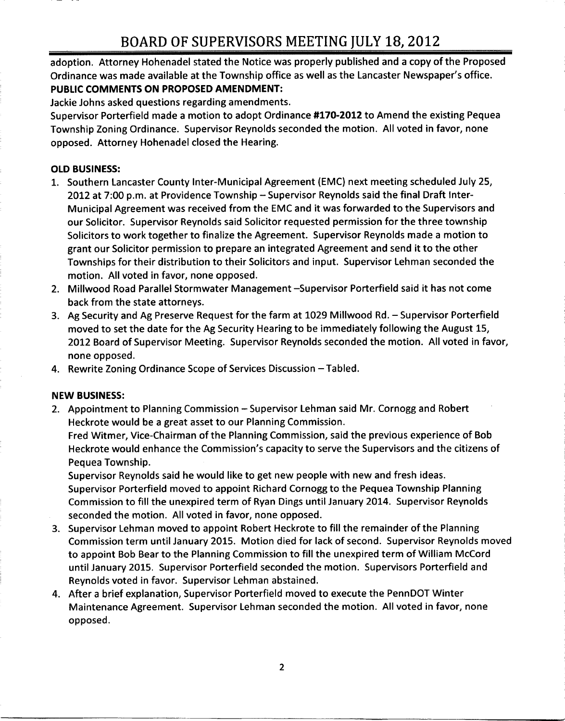adoption. Attorney Hohenadel stated the Notice was properly published and a copy of the Proposed BOARD OF SUPERVISORS MEETING JULY 18, 2012<br>adoption. Attorney Hohenadel stated the Notice was properly published and a copy of the Propo:<br>Ordinance was made available at the Township office as well as the Lancaster Newspap PUBLIC COMMENTS ON PROPOSED AMENDMENT

Jackie Johns asked questions regarding amendments

Supervisor Porterfield made a motion to adopt Ordinance #170-2012 to Amend the existing Pequea Township Zoning Ordinance. Supervisor Reynolds seconded the motion. All voted in favor, none opposed. Attorney Hohenadel closed the Hearing.

### OLD BUSINESS

- 1. Southern Lancaster County Inter-Municipal Agreement (EMC) next meeting scheduled July 25,<br>2012 at 7:00 p.m. at Providence Township Supervisor Reynolds said the final Draft Inter-<br>1. Municipal Agreement was assessed fr Municipal Agreement was received from the EMC and it was forwarded to the Supervisors and our Solicitor Supervisor Reynolds said Solicitor requested permission for the three township Solicitors to work together to finalize the Agreement. Supervisor Reynolds made a motion to grant our Solicitor permission to prepare an integrated Agreement and send it to the other Townships for their distribution to their Solicitors and input. Supervisor Lehman seconded the motion. All voted in favor, none opposed.
- 2. Millwood Road Parallel Stormwater Management Supervisor Porterfield said it has not come back from the state attorneys
- 3. Ag Security and Ag Preserve Request for the farm at 1029 Millwood Rd. Supervisor Porterfield moved to set the date for the Ag Security Hearing to be immediately following the August 15 2012 Board of Supervisor Meeting. Supervisor Reynolds seconded the motion. All voted in favor, none opposed
- 4. Rewrite Zoning Ordinance Scope of Services Discussion Tabled.

#### NEW BUSINESS

2. Appointment to Planning Commission - Supervisor Lehman said Mr. Cornogg and Robert Heckrote would be a great asset to our Planning Commission

Fred Witmer, Vice-Chairman of the Planning Commission, said the previous experience of Bob Rewrite Zoning Ordinance Scope of Services Discussion – Tabled.<br>N BUSINESS:<br>Appointment to Planning Commission – Supervisor Lehman said Mr. Cornogg and Robert<br>Heckrote would be a great asset to our Planning Commission.<br>Fre Pequea Township

Supervisor Reynolds said he would like to get new people with new and fresh ideas Supervisor Porterfield moved to appoint Richard Cornogg to the Pequea Township Planning Commission to fill the unexpired term of Ryan Dings until January 2014. Supervisor Reynolds seconded the motion. All voted in favor, none opposed.

- 3 Supervisor Lehman moved to appoint Robert Heckrote to fill the remainder of the Planning Commission term until January 2015. Motion died for lack of second. Supervisor Reynolds moved to appoint Bob Bear to the Planning Commission to fill the unexpired term of William McCord until January 2015. Supervisor Porterfield seconded the motion. Supervisors Porterfield and Reynolds voted in favor. Supervisor Lehman abstained.
- 4. After a brief explanation, Supervisor Porterfield moved to execute the PennDOT Winter Maintenance Agreement. Supervisor Lehman seconded the motion. All voted in favor, none opposed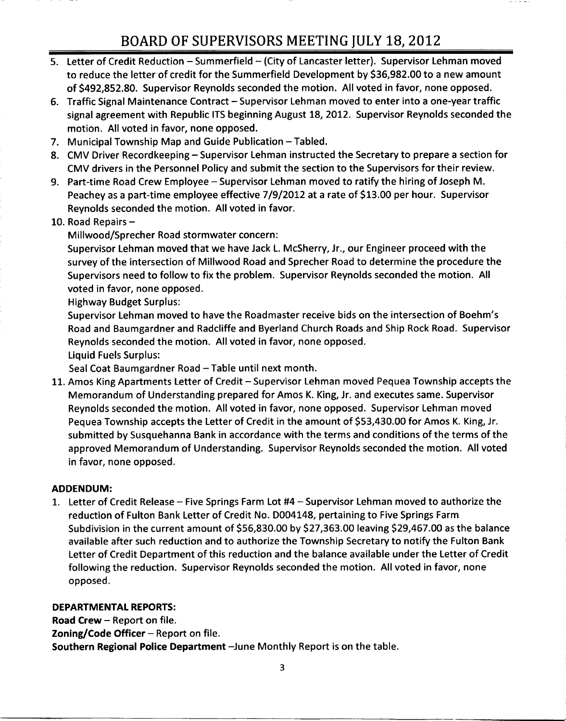# BOARD OF SUPERVISORS MEETING JULY 18 2012

- 5. Letter of Credit Reduction Summerfield (City of Lancaster letter). Supervisor Lehman moved EUTING OF BUT ENVISONS FILM THE TIME JONET 199, 2011<br>Letter of Credit Reduction – Summerfield – (City of Lancaster letter). Supervisor Lehman moved<br>to reduce the letter of credit for the Summerfield Development by \$36,982. Letter of Credit Reduction – Summerfield – (City of Lancaster letter). Supervisor Lehman mov<br>to reduce the letter of credit for the Summerfield Development by \$36,982.00 to a new amou<br>of \$492,852.80. Supervisor Reynolds se
- 6. Traffic Signal Maintenance Contract Supervisor Lehman moved to enter into a one-year traffic signal agreement with Republic ITS beginning August 18, 2012. Supervisor Reynolds seconded the motion. All voted in favor, none opposed.
- 7. Municipal Township Map and Guide Publication Tabled.
- 8. CMV Driver Recordkeeping Supervisor Lehman instructed the Secretary to prepare a section for CMV drivers in the Personnel Policy and submit the section to the Supervisors for their review
- 9. Part-time Road Crew Employee Supervisor Lehman moved to ratify the hiring of Joseph M.<br>Peachey as a part-time employee effective 7/9/2012 at a rate of \$13.00 per hour. Supervisor Municipal Township Map and Guide Publication — Tabled.<br>CMV Driver Recordkeeping — Supervisor Lehman instructed the Secretary to prepare a section<br>CMV drivers in the Personnel Policy and submit the section to the Supervisor Reynolds seconded the motion. All voted in favor.
- 10. Road Repairs  $-$

Millwood/Sprecher Road stormwater concern:

Supervisor Lehman moved that we have Jack L. McSherry, Jr., our Engineer proceed with the survey of the intersection of Millwood Road and Sprecher Road to determine the procedure the Supervisors need to follow to fix the problem. Supervisor Reynolds seconded the motion. All voted in favor, none opposed. survey of the intersection of Millwood Road and Sprecher Road to determine the procedure the<br>Supervisors need to follow to fix the problem. Supervisor Reynolds seconded the motion. All<br>voted in favor, none opposed.<br>Highway

Highway Budget Surplus

Road and Baumgardner and Radcliffe and Byerland Church Roads and Ship Rock Road. Supervisor Reynolds seconded the motion. All voted in favor, none opposed.

Liquid Fuels Surplus

Seal Coat Baumgardner Road - Table until next month.

11. Amos King Apartments Letter of Credit - Supervisor Lehman moved Pequea Township accepts the Memorandum of Understanding prepared for Amos K. King, Jr. and executes same. Supervisor Reynolds seconded the motion. All voted in favor, none opposed. Supervisor Lehman moved Pequea Township accepts the Letter of Credit in the amount of \$53,430.00 for Amos K. King, Jr. submitted by Susquehanna Bank in accordance with the terms and conditions of the terms of the approved Memorandum of Understanding. Supervisor Reynolds seconded the motion. All voted in favor, none opposed.

#### ADDENDUM

1. Letter of Credit Release - Five Springs Farm Lot #4 - Supervisor Lehman moved to authorize the reduction of Fulton Bank Letter of Credit No. D004148, pertaining to Five Springs Farm Subdivision in the current amount of \$56,830.00 by \$27,363.00 leaving \$29,467.00 as the balance available after such reduction and to authorize the Township Secretary to notify the Fulton Bank Letter of Credit Department of this reduction and the balance available under the Letter of Credit following the reduction. Supervisor Reynolds seconded the motion. All voted in favor, none opposed

#### DEPARTMENTAL REPORTS

Road Crew  $-$  Report on file. Zoning/Code Officer  $-$  Report on file. Southern Regional Police Department - June Monthly Report is on the table.

3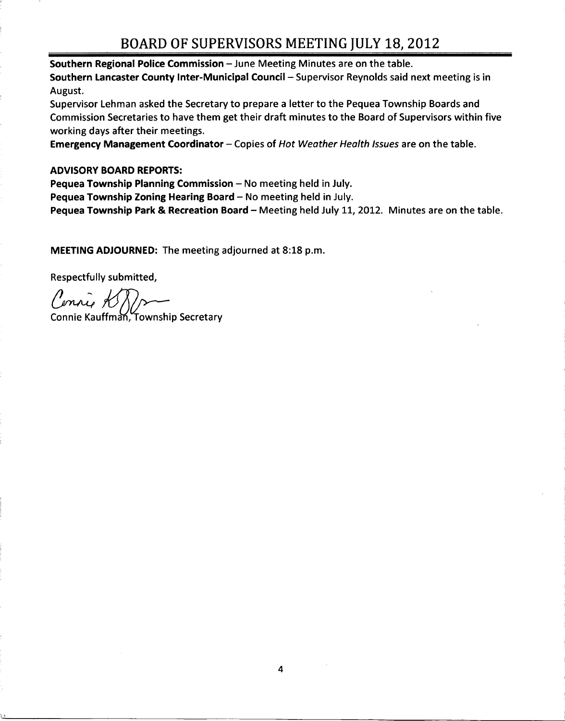# BOARD OF SUPERVISORS MEETING JULY 18 2012

Southern Regional Police Commission  $-$  June Meeting Minutes are on the table. Southern Lancaster County Inter-Municipal Council - Supervisor Reynolds said next meeting is in August

Supervisor Lehman asked the Secretary to prepare <sup>a</sup> letter to the Pequea Township Boards and Commission Secretaries to have them get their draft minutes to the Board of Supervisors within five working days after their meetings

**Emergency Management Coordinator** – Copies of Hot Weather Health Issues are on the table.

#### ADVISORY BOARD REPORTS

Pequea Township Planning Commission - No meeting held in July.

Pequea Township Zoning Hearing Board  $-$  No meeting held in July.

Pequea Township Park & Recreation Board - Meeting held July 11, 2012. Minutes are on the table.

MEETING ADJOURNED: The meeting adjourned at 8:18 p.m.

Respectfully submitted

Connie K

Connie Kauffman, Township Secretary